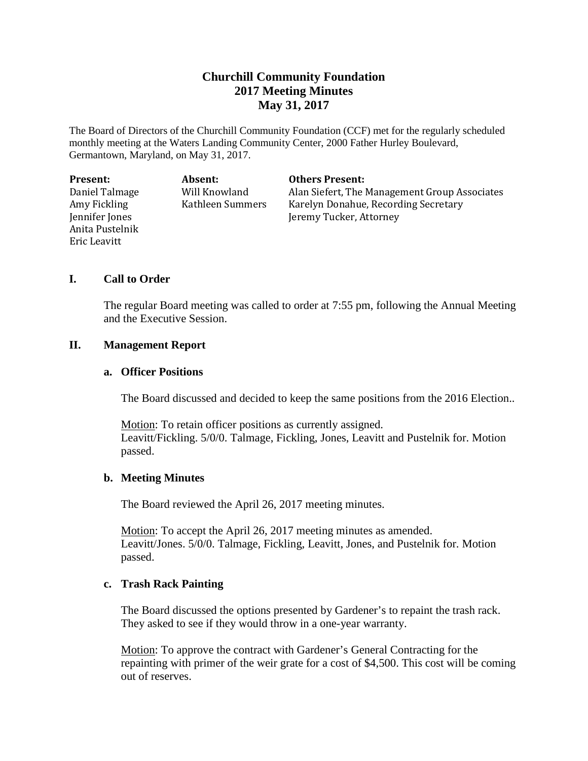# **Churchill Community Foundation 2017 Meeting Minutes May 31, 2017**

The Board of Directors of the Churchill Community Foundation (CCF) met for the regularly scheduled monthly meeting at the Waters Landing Community Center, 2000 Father Hurley Boulevard, Germantown, Maryland, on May 31, 2017.

| Present:        | Absent:          |
|-----------------|------------------|
| Daniel Talmage  | Will Knowland    |
| Amy Fickling    | Kathleen Summers |
| Jennifer Jones  |                  |
| Anita Pustelnik |                  |
| Eric Leavitt    |                  |

### **Others Present:**

Alan Siefert, The Management Group Associates Karelyn Donahue, Recording Secretary Jeremy Tucker, Attorney

## **I. Call to Order**

The regular Board meeting was called to order at 7:55 pm, following the Annual Meeting and the Executive Session.

### **II. Management Report**

### **a. Officer Positions**

The Board discussed and decided to keep the same positions from the 2016 Election..

Motion: To retain officer positions as currently assigned. Leavitt/Fickling. 5/0/0. Talmage, Fickling, Jones, Leavitt and Pustelnik for. Motion passed.

### **b. Meeting Minutes**

The Board reviewed the April 26, 2017 meeting minutes.

Motion: To accept the April 26, 2017 meeting minutes as amended. Leavitt/Jones. 5/0/0. Talmage, Fickling, Leavitt, Jones, and Pustelnik for. Motion passed.

## **c. Trash Rack Painting**

The Board discussed the options presented by Gardener's to repaint the trash rack. They asked to see if they would throw in a one-year warranty.

Motion: To approve the contract with Gardener's General Contracting for the repainting with primer of the weir grate for a cost of \$4,500. This cost will be coming out of reserves.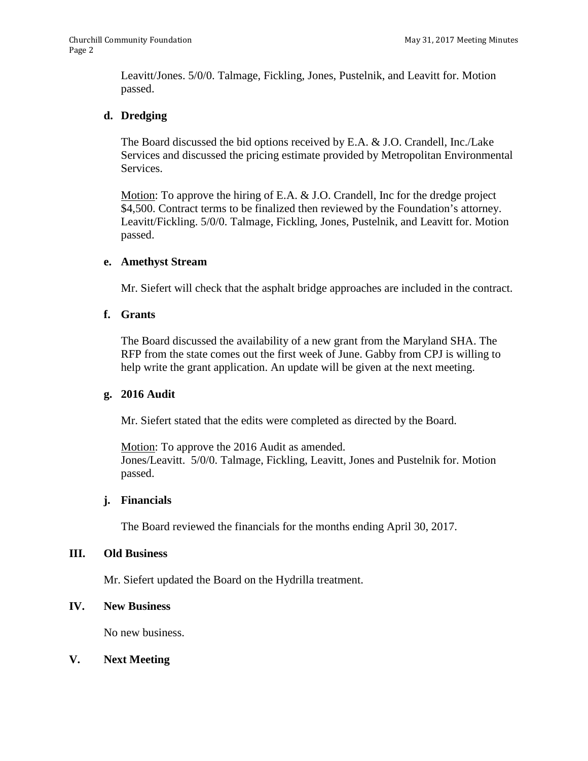Leavitt/Jones. 5/0/0. Talmage, Fickling, Jones, Pustelnik, and Leavitt for. Motion passed.

### **d. Dredging**

The Board discussed the bid options received by E.A. & J.O. Crandell, Inc./Lake Services and discussed the pricing estimate provided by Metropolitan Environmental Services.

Motion: To approve the hiring of E.A. & J.O. Crandell, Inc for the dredge project \$4,500. Contract terms to be finalized then reviewed by the Foundation's attorney. Leavitt/Fickling. 5/0/0. Talmage, Fickling, Jones, Pustelnik, and Leavitt for. Motion passed.

### **e. Amethyst Stream**

Mr. Siefert will check that the asphalt bridge approaches are included in the contract.

### **f. Grants**

The Board discussed the availability of a new grant from the Maryland SHA. The RFP from the state comes out the first week of June. Gabby from CPJ is willing to help write the grant application. An update will be given at the next meeting.

### **g. 2016 Audit**

Mr. Siefert stated that the edits were completed as directed by the Board.

Motion: To approve the 2016 Audit as amended. Jones/Leavitt. 5/0/0. Talmage, Fickling, Leavitt, Jones and Pustelnik for. Motion passed.

### **j. Financials**

The Board reviewed the financials for the months ending April 30, 2017.

#### **III. Old Business**

Mr. Siefert updated the Board on the Hydrilla treatment.

### **IV. New Business**

No new business.

### **V. Next Meeting**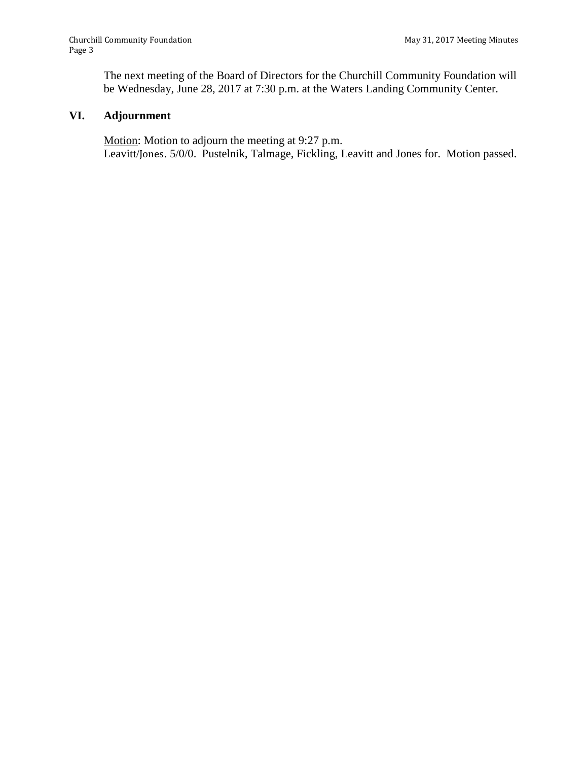The next meeting of the Board of Directors for the Churchill Community Foundation will be Wednesday, June 28, 2017 at 7:30 p.m. at the Waters Landing Community Center.

## **VI. Adjournment**

Motion: Motion to adjourn the meeting at 9:27 p.m. Leavitt/Jones. 5/0/0. Pustelnik, Talmage, Fickling, Leavitt and Jones for. Motion passed.